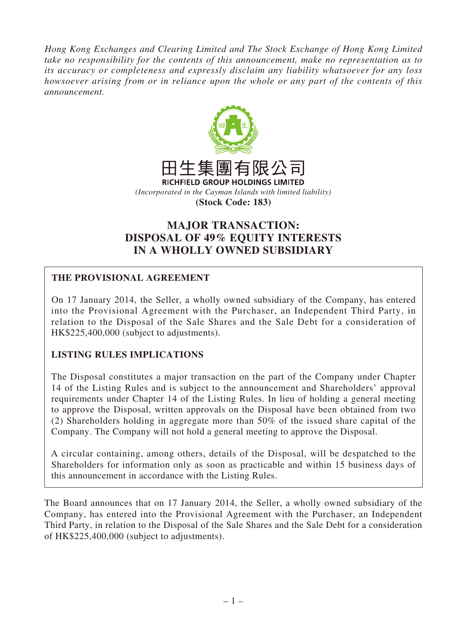*Hong Kong Exchanges and Clearing Limited and The Stock Exchange of Hong Kong Limited take no responsibility for the contents of this announcement, make no representation as to its accuracy or completeness and expressly disclaim any liability whatsoever for any loss howsoever arising from or in reliance upon the whole or any part of the contents of this announcement.*



# **MAJOR TRANSACTION: DISPOSAL OF 49% EQUITY INTERESTS IN A WHOLLY OWNED SUBSIDIARY**

# **THE PROVISIONAL AGREEMENT**

On 17 January 2014, the Seller, a wholly owned subsidiary of the Company, has entered into the Provisional Agreement with the Purchaser, an Independent Third Party, in relation to the Disposal of the Sale Shares and the Sale Debt for a consideration of HK\$225,400,000 (subject to adjustments).

# **LISTING RULES IMPLICATIONS**

The Disposal constitutes a major transaction on the part of the Company under Chapter 14 of the Listing Rules and is subject to the announcement and Shareholders' approval requirements under Chapter 14 of the Listing Rules. In lieu of holding a general meeting to approve the Disposal, written approvals on the Disposal have been obtained from two (2) Shareholders holding in aggregate more than 50% of the issued share capital of the Company. The Company will not hold a general meeting to approve the Disposal.

A circular containing, among others, details of the Disposal, will be despatched to the Shareholders for information only as soon as practicable and within 15 business days of this announcement in accordance with the Listing Rules.

The Board announces that on 17 January 2014, the Seller, a wholly owned subsidiary of the Company, has entered into the Provisional Agreement with the Purchaser, an Independent Third Party, in relation to the Disposal of the Sale Shares and the Sale Debt for a consideration of HK\$225,400,000 (subject to adjustments).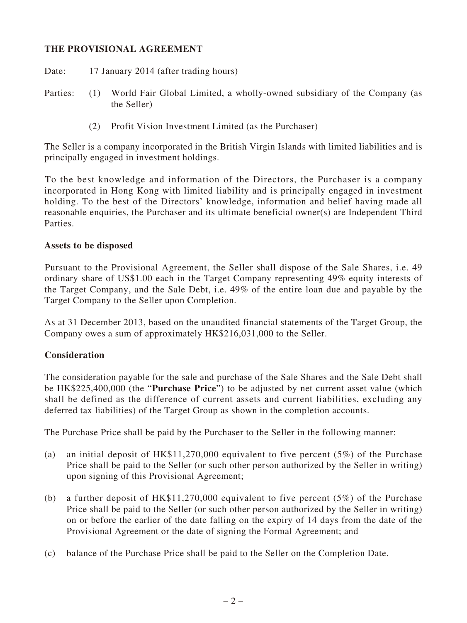# **THE PROVISIONAL AGREEMENT**

Date: 17 January 2014 (after trading hours)

- Parties: (1) World Fair Global Limited, a wholly-owned subsidiary of the Company (as the Seller)
	- (2) Profit Vision Investment Limited (as the Purchaser)

The Seller is a company incorporated in the British Virgin Islands with limited liabilities and is principally engaged in investment holdings.

To the best knowledge and information of the Directors, the Purchaser is a company incorporated in Hong Kong with limited liability and is principally engaged in investment holding. To the best of the Directors' knowledge, information and belief having made all reasonable enquiries, the Purchaser and its ultimate beneficial owner(s) are Independent Third Parties.

#### **Assets to be disposed**

Pursuant to the Provisional Agreement, the Seller shall dispose of the Sale Shares, i.e. 49 ordinary share of US\$1.00 each in the Target Company representing 49% equity interests of the Target Company, and the Sale Debt, i.e. 49% of the entire loan due and payable by the Target Company to the Seller upon Completion.

As at 31 December 2013, based on the unaudited financial statements of the Target Group, the Company owes a sum of approximately HK\$216,031,000 to the Seller.

# **Consideration**

The consideration payable for the sale and purchase of the Sale Shares and the Sale Debt shall be HK\$225,400,000 (the "**Purchase Price**") to be adjusted by net current asset value (which shall be defined as the difference of current assets and current liabilities, excluding any deferred tax liabilities) of the Target Group as shown in the completion accounts.

The Purchase Price shall be paid by the Purchaser to the Seller in the following manner:

- (a) an initial deposit of HK\$11,270,000 equivalent to five percent (5%) of the Purchase Price shall be paid to the Seller (or such other person authorized by the Seller in writing) upon signing of this Provisional Agreement;
- (b) a further deposit of HK\$11,270,000 equivalent to five percent (5%) of the Purchase Price shall be paid to the Seller (or such other person authorized by the Seller in writing) on or before the earlier of the date falling on the expiry of 14 days from the date of the Provisional Agreement or the date of signing the Formal Agreement; and
- (c) balance of the Purchase Price shall be paid to the Seller on the Completion Date.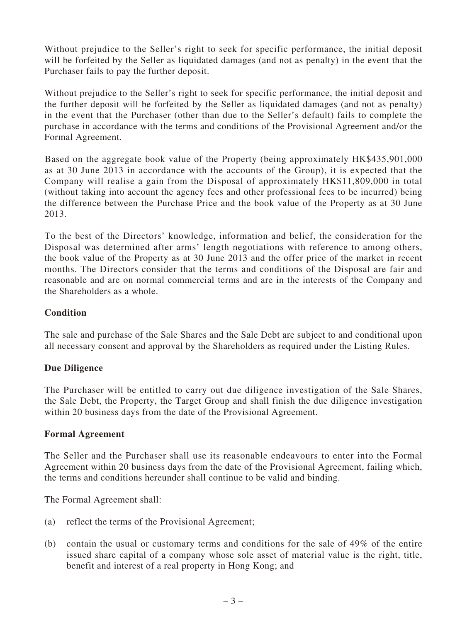Without prejudice to the Seller's right to seek for specific performance, the initial deposit will be forfeited by the Seller as liquidated damages (and not as penalty) in the event that the Purchaser fails to pay the further deposit.

Without prejudice to the Seller's right to seek for specific performance, the initial deposit and the further deposit will be forfeited by the Seller as liquidated damages (and not as penalty) in the event that the Purchaser (other than due to the Seller's default) fails to complete the purchase in accordance with the terms and conditions of the Provisional Agreement and/or the Formal Agreement.

Based on the aggregate book value of the Property (being approximately HK\$435,901,000 as at 30 June 2013 in accordance with the accounts of the Group), it is expected that the Company will realise a gain from the Disposal of approximately HK\$11,809,000 in total (without taking into account the agency fees and other professional fees to be incurred) being the difference between the Purchase Price and the book value of the Property as at 30 June 2013.

To the best of the Directors' knowledge, information and belief, the consideration for the Disposal was determined after arms' length negotiations with reference to among others, the book value of the Property as at 30 June 2013 and the offer price of the market in recent months. The Directors consider that the terms and conditions of the Disposal are fair and reasonable and are on normal commercial terms and are in the interests of the Company and the Shareholders as a whole.

# **Condition**

The sale and purchase of the Sale Shares and the Sale Debt are subject to and conditional upon all necessary consent and approval by the Shareholders as required under the Listing Rules.

# **Due Diligence**

The Purchaser will be entitled to carry out due diligence investigation of the Sale Shares, the Sale Debt, the Property, the Target Group and shall finish the due diligence investigation within 20 business days from the date of the Provisional Agreement.

# **Formal Agreement**

The Seller and the Purchaser shall use its reasonable endeavours to enter into the Formal Agreement within 20 business days from the date of the Provisional Agreement, failing which, the terms and conditions hereunder shall continue to be valid and binding.

The Formal Agreement shall:

- (a) reflect the terms of the Provisional Agreement;
- (b) contain the usual or customary terms and conditions for the sale of 49% of the entire issued share capital of a company whose sole asset of material value is the right, title, benefit and interest of a real property in Hong Kong; and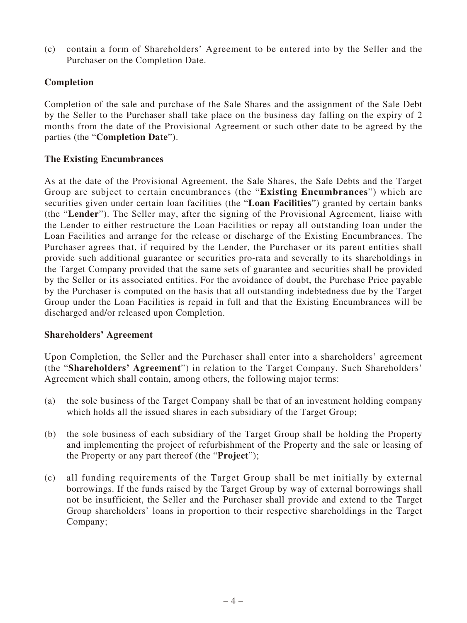(c) contain a form of Shareholders' Agreement to be entered into by the Seller and the Purchaser on the Completion Date.

# **Completion**

Completion of the sale and purchase of the Sale Shares and the assignment of the Sale Debt by the Seller to the Purchaser shall take place on the business day falling on the expiry of 2 months from the date of the Provisional Agreement or such other date to be agreed by the parties (the "**Completion Date**").

#### **The Existing Encumbrances**

As at the date of the Provisional Agreement, the Sale Shares, the Sale Debts and the Target Group are subject to certain encumbrances (the "**Existing Encumbrances**") which are securities given under certain loan facilities (the "**Loan Facilities**") granted by certain banks (the "**Lender**"). The Seller may, after the signing of the Provisional Agreement, liaise with the Lender to either restructure the Loan Facilities or repay all outstanding loan under the Loan Facilities and arrange for the release or discharge of the Existing Encumbrances. The Purchaser agrees that, if required by the Lender, the Purchaser or its parent entities shall provide such additional guarantee or securities pro-rata and severally to its shareholdings in the Target Company provided that the same sets of guarantee and securities shall be provided by the Seller or its associated entities. For the avoidance of doubt, the Purchase Price payable by the Purchaser is computed on the basis that all outstanding indebtedness due by the Target Group under the Loan Facilities is repaid in full and that the Existing Encumbrances will be discharged and/or released upon Completion.

#### **Shareholders' Agreement**

Upon Completion, the Seller and the Purchaser shall enter into a shareholders' agreement (the "**Shareholders' Agreement**") in relation to the Target Company. Such Shareholders' Agreement which shall contain, among others, the following major terms:

- (a) the sole business of the Target Company shall be that of an investment holding company which holds all the issued shares in each subsidiary of the Target Group;
- (b) the sole business of each subsidiary of the Target Group shall be holding the Property and implementing the project of refurbishment of the Property and the sale or leasing of the Property or any part thereof (the "**Project**");
- (c) all funding requirements of the Target Group shall be met initially by external borrowings. If the funds raised by the Target Group by way of external borrowings shall not be insufficient, the Seller and the Purchaser shall provide and extend to the Target Group shareholders' loans in proportion to their respective shareholdings in the Target Company;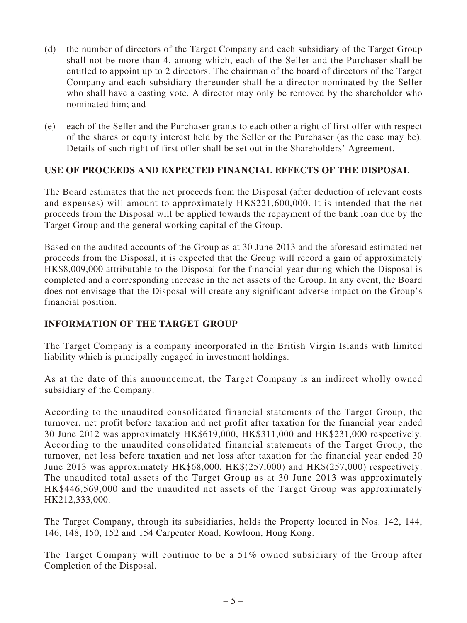- (d) the number of directors of the Target Company and each subsidiary of the Target Group shall not be more than 4, among which, each of the Seller and the Purchaser shall be entitled to appoint up to 2 directors. The chairman of the board of directors of the Target Company and each subsidiary thereunder shall be a director nominated by the Seller who shall have a casting vote. A director may only be removed by the shareholder who nominated him; and
- (e) each of the Seller and the Purchaser grants to each other a right of first offer with respect of the shares or equity interest held by the Seller or the Purchaser (as the case may be). Details of such right of first offer shall be set out in the Shareholders' Agreement.

# **USE OF PROCEEDS AND EXPECTED FINANCIAL EFFECTS OF THE DISPOSAL**

The Board estimates that the net proceeds from the Disposal (after deduction of relevant costs and expenses) will amount to approximately HK\$221,600,000. It is intended that the net proceeds from the Disposal will be applied towards the repayment of the bank loan due by the Target Group and the general working capital of the Group.

Based on the audited accounts of the Group as at 30 June 2013 and the aforesaid estimated net proceeds from the Disposal, it is expected that the Group will record a gain of approximately HK\$8,009,000 attributable to the Disposal for the financial year during which the Disposal is completed and a corresponding increase in the net assets of the Group. In any event, the Board does not envisage that the Disposal will create any significant adverse impact on the Group's financial position.

# **INFORMATION OF THE TARGET GROUP**

The Target Company is a company incorporated in the British Virgin Islands with limited liability which is principally engaged in investment holdings.

As at the date of this announcement, the Target Company is an indirect wholly owned subsidiary of the Company.

According to the unaudited consolidated financial statements of the Target Group, the turnover, net profit before taxation and net profit after taxation for the financial year ended 30 June 2012 was approximately HK\$619,000, HK\$311,000 and HK\$231,000 respectively. According to the unaudited consolidated financial statements of the Target Group, the turnover, net loss before taxation and net loss after taxation for the financial year ended 30 June 2013 was approximately HK\$68,000, HK\$(257,000) and HK\$(257,000) respectively. The unaudited total assets of the Target Group as at 30 June 2013 was approximately HK\$446,569,000 and the unaudited net assets of the Target Group was approximately HK212,333,000.

The Target Company, through its subsidiaries, holds the Property located in Nos. 142, 144, 146, 148, 150, 152 and 154 Carpenter Road, Kowloon, Hong Kong.

The Target Company will continue to be a 51% owned subsidiary of the Group after Completion of the Disposal.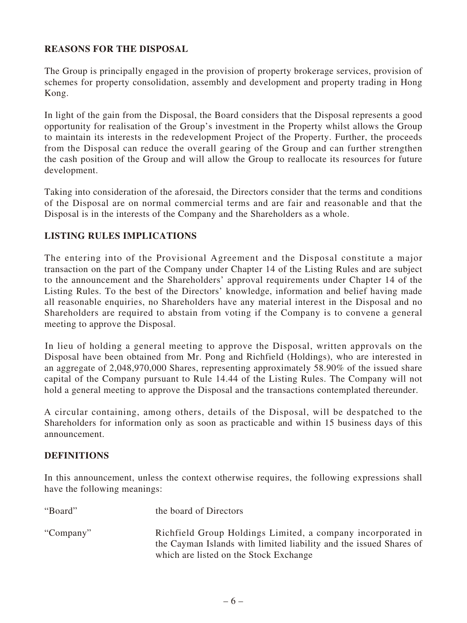# **REASONS FOR THE DISPOSAL**

The Group is principally engaged in the provision of property brokerage services, provision of schemes for property consolidation, assembly and development and property trading in Hong Kong.

In light of the gain from the Disposal, the Board considers that the Disposal represents a good opportunity for realisation of the Group's investment in the Property whilst allows the Group to maintain its interests in the redevelopment Project of the Property. Further, the proceeds from the Disposal can reduce the overall gearing of the Group and can further strengthen the cash position of the Group and will allow the Group to reallocate its resources for future development.

Taking into consideration of the aforesaid, the Directors consider that the terms and conditions of the Disposal are on normal commercial terms and are fair and reasonable and that the Disposal is in the interests of the Company and the Shareholders as a whole.

# **LISTING RULES IMPLICATIONS**

The entering into of the Provisional Agreement and the Disposal constitute a major transaction on the part of the Company under Chapter 14 of the Listing Rules and are subject to the announcement and the Shareholders' approval requirements under Chapter 14 of the Listing Rules. To the best of the Directors' knowledge, information and belief having made all reasonable enquiries, no Shareholders have any material interest in the Disposal and no Shareholders are required to abstain from voting if the Company is to convene a general meeting to approve the Disposal.

In lieu of holding a general meeting to approve the Disposal, written approvals on the Disposal have been obtained from Mr. Pong and Richfield (Holdings), who are interested in an aggregate of 2,048,970,000 Shares, representing approximately 58.90% of the issued share capital of the Company pursuant to Rule 14.44 of the Listing Rules. The Company will not hold a general meeting to approve the Disposal and the transactions contemplated thereunder.

A circular containing, among others, details of the Disposal, will be despatched to the Shareholders for information only as soon as practicable and within 15 business days of this announcement.

# **DEFINITIONS**

In this announcement, unless the context otherwise requires, the following expressions shall have the following meanings:

| "Board"   | the board of Directors                                                                                                                                                      |
|-----------|-----------------------------------------------------------------------------------------------------------------------------------------------------------------------------|
| "Company" | Richfield Group Holdings Limited, a company incorporated in<br>the Cayman Islands with limited liability and the issued Shares of<br>which are listed on the Stock Exchange |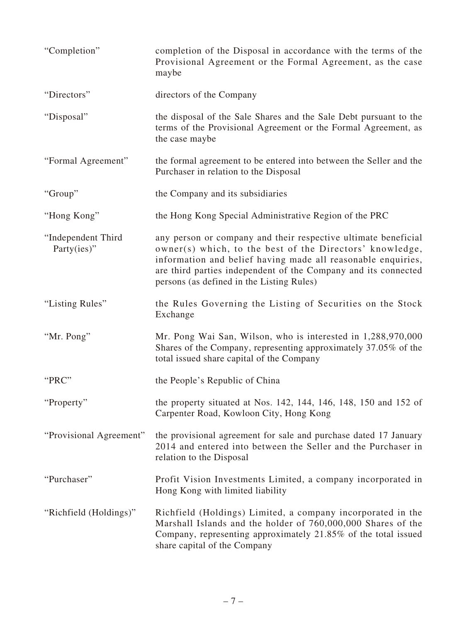| "Completion"                      | completion of the Disposal in accordance with the terms of the<br>Provisional Agreement or the Formal Agreement, as the case<br>maybe                                                                                                                                                                     |
|-----------------------------------|-----------------------------------------------------------------------------------------------------------------------------------------------------------------------------------------------------------------------------------------------------------------------------------------------------------|
| "Directors"                       | directors of the Company                                                                                                                                                                                                                                                                                  |
| "Disposal"                        | the disposal of the Sale Shares and the Sale Debt pursuant to the<br>terms of the Provisional Agreement or the Formal Agreement, as<br>the case maybe                                                                                                                                                     |
| "Formal Agreement"                | the formal agreement to be entered into between the Seller and the<br>Purchaser in relation to the Disposal                                                                                                                                                                                               |
| "Group"                           | the Company and its subsidiaries                                                                                                                                                                                                                                                                          |
| "Hong Kong"                       | the Hong Kong Special Administrative Region of the PRC                                                                                                                                                                                                                                                    |
| "Independent Third<br>Party(ies)" | any person or company and their respective ultimate beneficial<br>owner(s) which, to the best of the Directors' knowledge,<br>information and belief having made all reasonable enquiries,<br>are third parties independent of the Company and its connected<br>persons (as defined in the Listing Rules) |
| "Listing Rules"                   | the Rules Governing the Listing of Securities on the Stock<br>Exchange                                                                                                                                                                                                                                    |
| "Mr. Pong"                        | Mr. Pong Wai San, Wilson, who is interested in 1,288,970,000<br>Shares of the Company, representing approximately 37.05% of the<br>total issued share capital of the Company                                                                                                                              |
| "PRC"                             | the People's Republic of China                                                                                                                                                                                                                                                                            |
| "Property"                        | the property situated at Nos. 142, 144, 146, 148, 150 and 152 of<br>Carpenter Road, Kowloon City, Hong Kong                                                                                                                                                                                               |
| "Provisional Agreement"           | the provisional agreement for sale and purchase dated 17 January<br>2014 and entered into between the Seller and the Purchaser in<br>relation to the Disposal                                                                                                                                             |
| "Purchaser"                       | Profit Vision Investments Limited, a company incorporated in<br>Hong Kong with limited liability                                                                                                                                                                                                          |
| "Richfield (Holdings)"            | Richfield (Holdings) Limited, a company incorporated in the<br>Marshall Islands and the holder of 760,000,000 Shares of the<br>Company, representing approximately 21.85% of the total issued<br>share capital of the Company                                                                             |